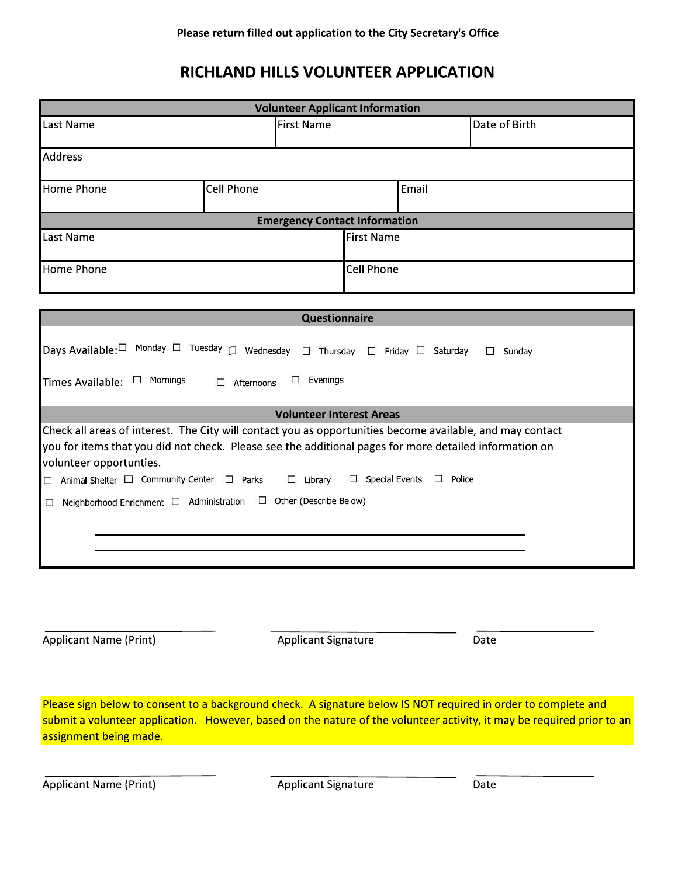# RICHLAND HILLS VOLUNTEER APPLICATION

| <b>Volunteer Applicant Information</b>                                                                                                                                                                                                                                                                                                                                 |                   |                   |       |               |
|------------------------------------------------------------------------------------------------------------------------------------------------------------------------------------------------------------------------------------------------------------------------------------------------------------------------------------------------------------------------|-------------------|-------------------|-------|---------------|
| <b>First Name</b><br>Last Name                                                                                                                                                                                                                                                                                                                                         |                   |                   |       | Date of Birth |
| <b>Address</b>                                                                                                                                                                                                                                                                                                                                                         |                   |                   |       |               |
| <b>Home Phone</b>                                                                                                                                                                                                                                                                                                                                                      | <b>Cell Phone</b> |                   | Email |               |
| <b>Emergency Contact Information</b>                                                                                                                                                                                                                                                                                                                                   |                   |                   |       |               |
| Last Name                                                                                                                                                                                                                                                                                                                                                              |                   | <b>First Name</b> |       |               |
| <b>Home Phone</b>                                                                                                                                                                                                                                                                                                                                                      |                   | <b>Cell Phone</b> |       |               |
|                                                                                                                                                                                                                                                                                                                                                                        |                   |                   |       |               |
| Questionnaire                                                                                                                                                                                                                                                                                                                                                          |                   |                   |       |               |
| Days Available:□ Monday □ Tuesday □ Wednesday □ Thursday □ Friday □ Saturday<br>$\square$ Sunday                                                                                                                                                                                                                                                                       |                   |                   |       |               |
| $\square$ Evenings<br>Times Available: $\Box$ Mornings<br>Afternoons<br>П.                                                                                                                                                                                                                                                                                             |                   |                   |       |               |
| <b>Volunteer Interest Areas</b>                                                                                                                                                                                                                                                                                                                                        |                   |                   |       |               |
| Check all areas of interest. The City will contact you as opportunities become available, and may contact<br>you for items that you did not check. Please see the additional pages for more detailed information on<br>volunteer opportunties.<br>Animal Shelter $\Box$ Community Center $\Box$ Parks<br>$\Box$ Special Events<br>$\Box$ Police<br>$\Box$ Library<br>□ |                   |                   |       |               |
| Neighborhood Enrichment □ Administration □ Other (Describe Below)<br>$\Box$                                                                                                                                                                                                                                                                                            |                   |                   |       |               |

Applicant Name (Print)

**Applicant Signature** 

Date

Please sign below to consent to a background check. A signature below IS NOT required in order to complete and submit a volunteer application. However, based on the nature of the volunteer activity, it may be required prior to an assignment being made.

**Applicant Name (Print)** 

**Applicant Signature** 

Date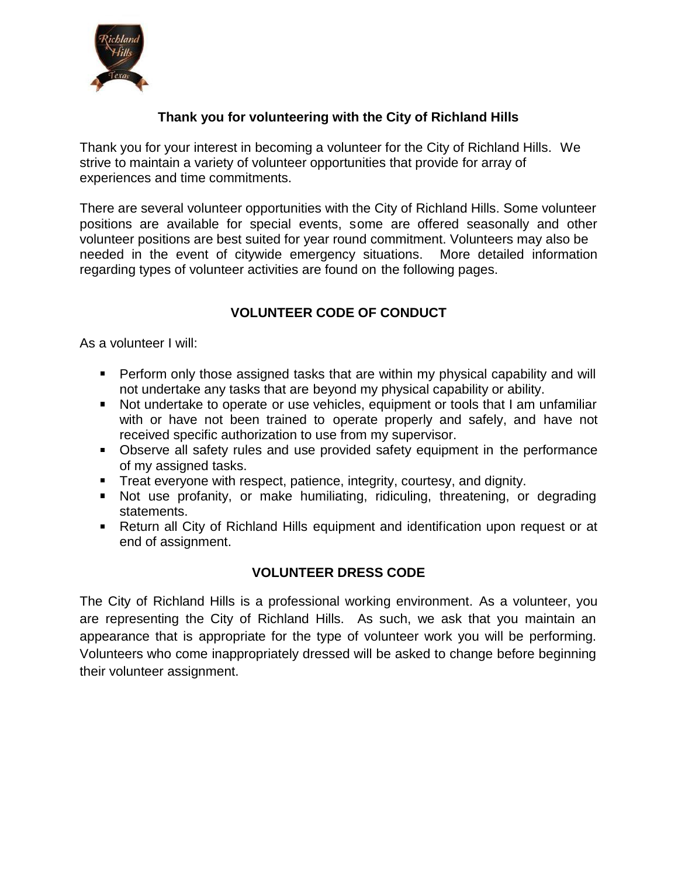

### **Thank you for volunteering with the City of Richland Hills**

Thank you for your interest in becoming a volunteer for the City of Richland Hills. We strive to maintain a variety of volunteer opportunities that provide for array of experiences and time commitments.

There are several volunteer opportunities with the City of Richland Hills. Some volunteer positions are available for special events, some are offered seasonally and other volunteer positions are best suited for year round commitment. Volunteers may also be needed in the event of citywide emergency situations. More detailed information regarding types of volunteer activities are found on the following pages.

# **VOLUNTEER CODE OF CONDUCT**

As a volunteer I will:

- **Perform only those assigned tasks that are within my physical capability and will** not undertake any tasks that are beyond my physical capability or ability.
- Not undertake to operate or use vehicles, equipment or tools that I am unfamiliar with or have not been trained to operate properly and safely, and have not received specific authorization to use from my supervisor.
- **Dian Strate Conserverse II** safety rules and use provided safety equipment in the performance of my assigned tasks.
- **Treat everyone with respect, patience, integrity, courtesy, and dignity.**
- Not use profanity, or make humiliating, ridiculing, threatening, or degrading statements.
- Return all City of Richland Hills equipment and identification upon request or at end of assignment.

## **VOLUNTEER DRESS CODE**

The City of Richland Hills is a professional working environment. As a volunteer, you are representing the City of Richland Hills. As such, we ask that you maintain an appearance that is appropriate for the type of volunteer work you will be performing. Volunteers who come inappropriately dressed will be asked to change before beginning their volunteer assignment.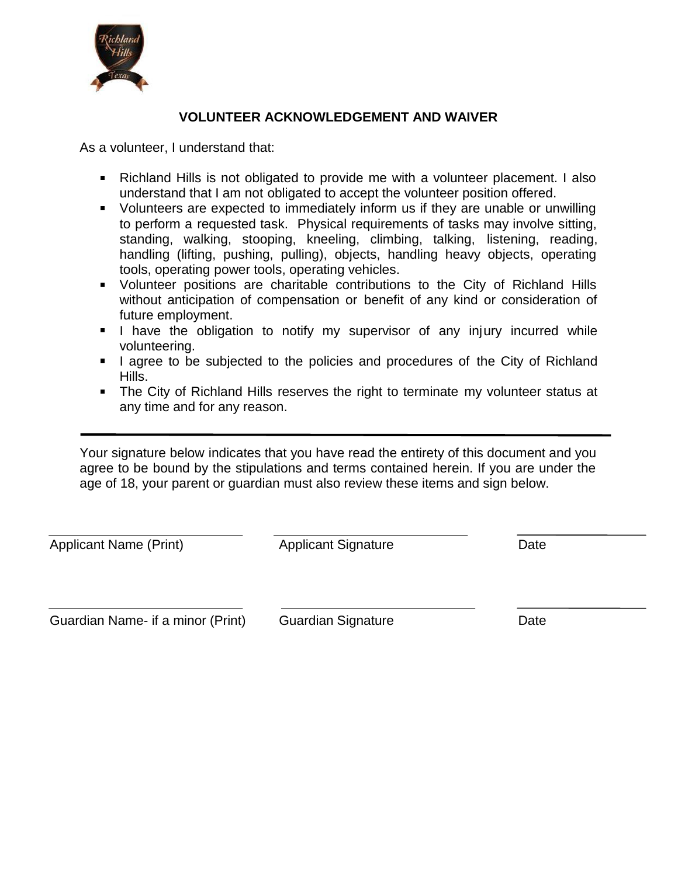

### **VOLUNTEER ACKNOWLEDGEMENT AND WAIVER**

As a volunteer, I understand that:

- Richland Hills is not obligated to provide me with a volunteer placement. I also understand that I am not obligated to accept the volunteer position offered.
- Volunteers are expected to immediately inform us if they are unable or unwilling to perform a requested task. Physical requirements of tasks may involve sitting, standing, walking, stooping, kneeling, climbing, talking, listening, reading, handling (lifting, pushing, pulling), objects, handling heavy objects, operating tools, operating power tools, operating vehicles.
- Volunteer positions are charitable contributions to the City of Richland Hills without anticipation of compensation or benefit of any kind or consideration of future employment.
- I have the obligation to notify my supervisor of any injury incurred while volunteering.
- I agree to be subjected to the policies and procedures of the City of Richland Hills.
- **The City of Richland Hills reserves the right to terminate my volunteer status at** any time and for any reason.

Your signature below indicates that you have read the entirety of this document and you agree to be bound by the stipulations and terms contained herein. If you are under the age of 18, your parent or guardian must also review these items and sign below.

Applicant Name (Print) Applicant Signature Date

Guardian Name- if a minor (Print) Guardian Signature Cuardian Summer Date